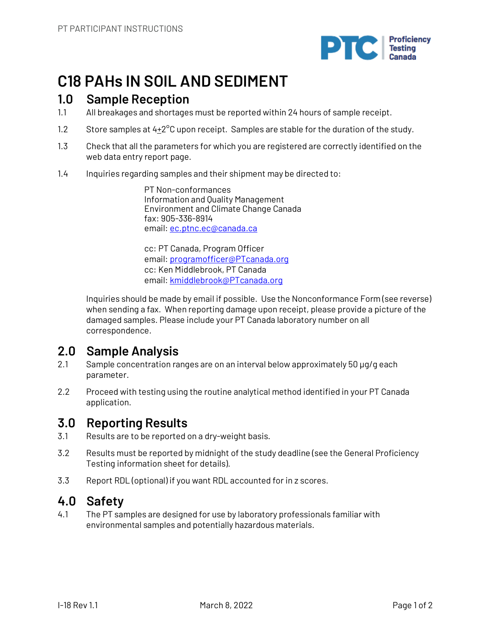

# **C18 PAHs IN SOIL AND SEDIMENT**

## **1.0 Sample Reception**

- 1.1 All breakages and shortages must be reported within 24 hours of sample receipt.
- 1.2 Store samples at  $4+2^{\circ}$ C upon receipt. Samples are stable for the duration of the study.
- 1.3 Check that all the parameters for which you are registered are correctly identified on the web data entry report page.
- 1.4 Inquiries regarding samples and their shipment may be directed to:

PT Non-conformances Information and Quality Management Environment and Climate Change Canada fax: 905-336-8914 email: ec.ptnc.ec@canada.ca

cc: PT Canada, Program Officer email: programofficer@PTcanada.org cc: Ken Middlebrook, PT Canada email: kmiddlebrook@PTcanada.org

Inquiries should be made by email if possible. Use the Nonconformance Form (see reverse) when sending a fax. When reporting damage upon receipt, please provide a picture of the damaged samples. Please include your PT Canada laboratory number on all correspondence.

## **2.0 Sample Analysis**

- 2.1 Sample concentration ranges are on an interval below approximately 50 µg/g each parameter.
- 2.2 Proceed with testing using the routine analytical method identified in your PT Canada application.

## **3.0 Reporting Results**

- 3.1 Results are to be reported on a dry-weight basis.
- 3.2 Results must be reported by midnight of the study deadline (see the General Proficiency Testing information sheet for details).
- 3.3 Report RDL (optional) if you want RDL accounted for in z scores.

## **4.0 Safety**

4.1 The PT samples are designed for use by laboratory professionals familiar with environmental samples and potentially hazardous materials.